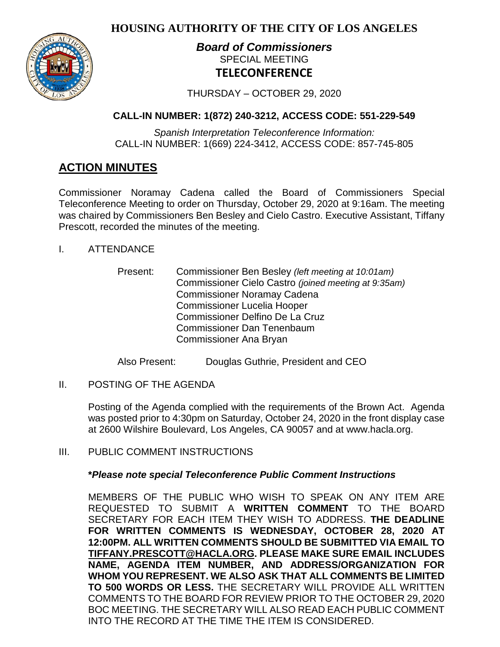**HOUSING AUTHORITY OF THE CITY OF LOS ANGELES**



# *Board of Commissioners* SPECIAL MEETING **TELECONFERENCE**

THURSDAY – OCTOBER 29, 2020

# **CALL-IN NUMBER: 1(872) 240-3212, ACCESS CODE: 551-229-549**

*Spanish Interpretation Teleconference Information:* CALL-IN NUMBER: 1(669) 224-3412, ACCESS CODE: 857-745-805

# **ACTION MINUTES**

Commissioner Noramay Cadena called the Board of Commissioners Special Teleconference Meeting to order on Thursday, October 29, 2020 at 9:16am. The meeting was chaired by Commissioners Ben Besley and Cielo Castro. Executive Assistant, Tiffany Prescott, recorded the minutes of the meeting.

- I. ATTENDANCE
	- Present: Commissioner Ben Besley *(left meeting at 10:01am)* Commissioner Cielo Castro *(joined meeting at 9:35am)* Commissioner Noramay Cadena Commissioner Lucelia Hooper Commissioner Delfino De La Cruz Commissioner Dan Tenenbaum Commissioner Ana Bryan

Also Present: Douglas Guthrie, President and CEO

II. POSTING OF THE AGENDA

Posting of the Agenda complied with the requirements of the Brown Act. Agenda was posted prior to 4:30pm on Saturday, October 24, 2020 in the front display case at 2600 Wilshire Boulevard, Los Angeles, CA 90057 and at [www.hacla.org.](http://www.hacla.org/)

III. PUBLIC COMMENT INSTRUCTIONS

## **\****Please note special Teleconference Public Comment Instructions*

MEMBERS OF THE PUBLIC WHO WISH TO SPEAK ON ANY ITEM ARE REQUESTED TO SUBMIT A **WRITTEN COMMENT** TO THE BOARD SECRETARY FOR EACH ITEM THEY WISH TO ADDRESS. **THE DEADLINE FOR WRITTEN COMMENTS IS WEDNESDAY, OCTOBER 28, 2020 AT 12:00PM. ALL WRITTEN COMMENTS SHOULD BE SUBMITTED VIA EMAIL TO [TIFFANY.PRESCOTT@HACLA.ORG.](mailto:TIFFANY.PRESCOTT@HACLA.ORG) PLEASE MAKE SURE EMAIL INCLUDES NAME, AGENDA ITEM NUMBER, AND ADDRESS/ORGANIZATION FOR WHOM YOU REPRESENT. WE ALSO ASK THAT ALL COMMENTS BE LIMITED TO 500 WORDS OR LESS.** THE SECRETARY WILL PROVIDE ALL WRITTEN COMMENTS TO THE BOARD FOR REVIEW PRIOR TO THE OCTOBER 29, 2020 BOC MEETING. THE SECRETARY WILL ALSO READ EACH PUBLIC COMMENT INTO THE RECORD AT THE TIME THE ITEM IS CONSIDERED.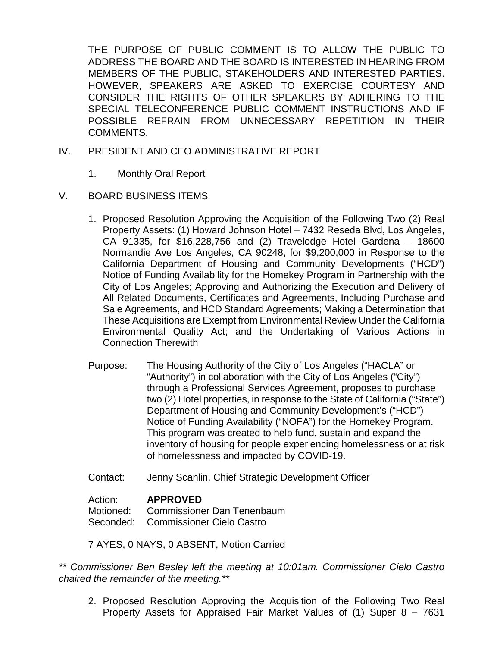THE PURPOSE OF PUBLIC COMMENT IS TO ALLOW THE PUBLIC TO ADDRESS THE BOARD AND THE BOARD IS INTERESTED IN HEARING FROM MEMBERS OF THE PUBLIC, STAKEHOLDERS AND INTERESTED PARTIES. HOWEVER, SPEAKERS ARE ASKED TO EXERCISE COURTESY AND CONSIDER THE RIGHTS OF OTHER SPEAKERS BY ADHERING TO THE SPECIAL TELECONFERENCE PUBLIC COMMENT INSTRUCTIONS AND IF POSSIBLE REFRAIN FROM UNNECESSARY REPETITION IN THEIR COMMENTS.

- IV. PRESIDENT AND CEO ADMINISTRATIVE REPORT
	- 1. Monthly Oral Report
- V. BOARD BUSINESS ITEMS
	- 1. Proposed Resolution Approving the Acquisition of the Following Two (2) Real Property Assets: (1) Howard Johnson Hotel – 7432 Reseda Blvd, Los Angeles, CA 91335, for \$16,228,756 and (2) Travelodge Hotel Gardena – 18600 Normandie Ave Los Angeles, CA 90248, for \$9,200,000 in Response to the California Department of Housing and Community Developments ("HCD") Notice of Funding Availability for the Homekey Program in Partnership with the City of Los Angeles; Approving and Authorizing the Execution and Delivery of All Related Documents, Certificates and Agreements, Including Purchase and Sale Agreements, and HCD Standard Agreements; Making a Determination that These Acquisitions are Exempt from Environmental Review Under the California Environmental Quality Act; and the Undertaking of Various Actions in Connection Therewith
	- Purpose: The Housing Authority of the City of Los Angeles ("HACLA" or "Authority") in collaboration with the City of Los Angeles ("City") through a Professional Services Agreement, proposes to purchase two (2) Hotel properties, in response to the State of California ("State") Department of Housing and Community Development's ("HCD") Notice of Funding Availability ("NOFA") for the Homekey Program. This program was created to help fund, sustain and expand the inventory of housing for people experiencing homelessness or at risk of homelessness and impacted by COVID-19.
	- Contact: Jenny Scanlin, Chief Strategic Development Officer

### Action: **APPROVED**

Motioned: Commissioner Dan Tenenbaum Seconded: Commissioner Cielo Castro

7 AYES, 0 NAYS, 0 ABSENT, Motion Carried

*\*\* Commissioner Ben Besley left the meeting at 10:01am. Commissioner Cielo Castro chaired the remainder of the meeting.\*\**

2. Proposed Resolution Approving the Acquisition of the Following Two Real Property Assets for Appraised Fair Market Values of (1) Super 8 – 7631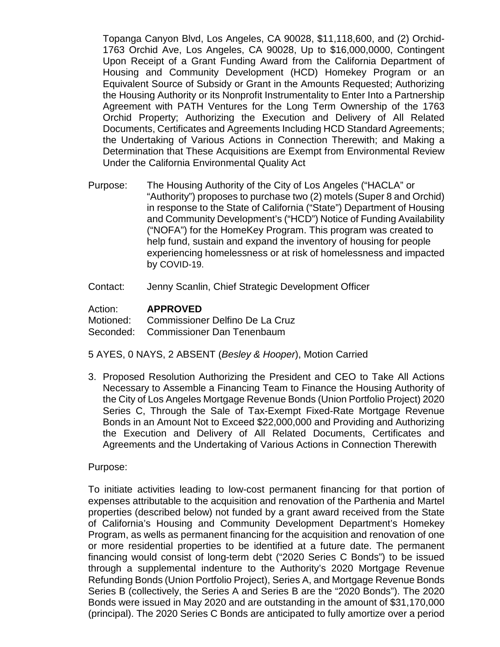Topanga Canyon Blvd, Los Angeles, CA 90028, \$11,118,600, and (2) Orchid-1763 Orchid Ave, Los Angeles, CA 90028, Up to \$16,000,0000, Contingent Upon Receipt of a Grant Funding Award from the California Department of Housing and Community Development (HCD) Homekey Program or an Equivalent Source of Subsidy or Grant in the Amounts Requested; Authorizing the Housing Authority or its Nonprofit Instrumentality to Enter Into a Partnership Agreement with PATH Ventures for the Long Term Ownership of the 1763 Orchid Property; Authorizing the Execution and Delivery of All Related Documents, Certificates and Agreements Including HCD Standard Agreements; the Undertaking of Various Actions in Connection Therewith; and Making a Determination that These Acquisitions are Exempt from Environmental Review Under the California Environmental Quality Act

- Purpose: The Housing Authority of the City of Los Angeles ("HACLA" or "Authority") proposes to purchase two (2) motels (Super 8 and Orchid) in response to the State of California ("State") Department of Housing and Community Development's ("HCD") Notice of Funding Availability ("NOFA") for the HomeKey Program. This program was created to help fund, sustain and expand the inventory of housing for people experiencing homelessness or at risk of homelessness and impacted by COVID-19.
- Contact: Jenny Scanlin, Chief Strategic Development Officer

Action: **APPROVED**

Motioned: Commissioner Delfino De La Cruz

Seconded: Commissioner Dan Tenenbaum

- 5 AYES, 0 NAYS, 2 ABSENT (*Besley & Hooper*), Motion Carried
- 3. Proposed Resolution Authorizing the President and CEO to Take All Actions Necessary to Assemble a Financing Team to Finance the Housing Authority of the City of Los Angeles Mortgage Revenue Bonds (Union Portfolio Project) 2020 Series C, Through the Sale of Tax-Exempt Fixed-Rate Mortgage Revenue Bonds in an Amount Not to Exceed \$22,000,000 and Providing and Authorizing the Execution and Delivery of All Related Documents, Certificates and Agreements and the Undertaking of Various Actions in Connection Therewith

Purpose:

To initiate activities leading to low-cost permanent financing for that portion of expenses attributable to the acquisition and renovation of the Parthenia and Martel properties (described below) not funded by a grant award received from the State of California's Housing and Community Development Department's Homekey Program, as wells as permanent financing for the acquisition and renovation of one or more residential properties to be identified at a future date. The permanent financing would consist of long-term debt ("2020 Series C Bonds") to be issued through a supplemental indenture to the Authority's 2020 Mortgage Revenue Refunding Bonds (Union Portfolio Project), Series A, and Mortgage Revenue Bonds Series B (collectively, the Series A and Series B are the "2020 Bonds"). The 2020 Bonds were issued in May 2020 and are outstanding in the amount of \$31,170,000 (principal). The 2020 Series C Bonds are anticipated to fully amortize over a period